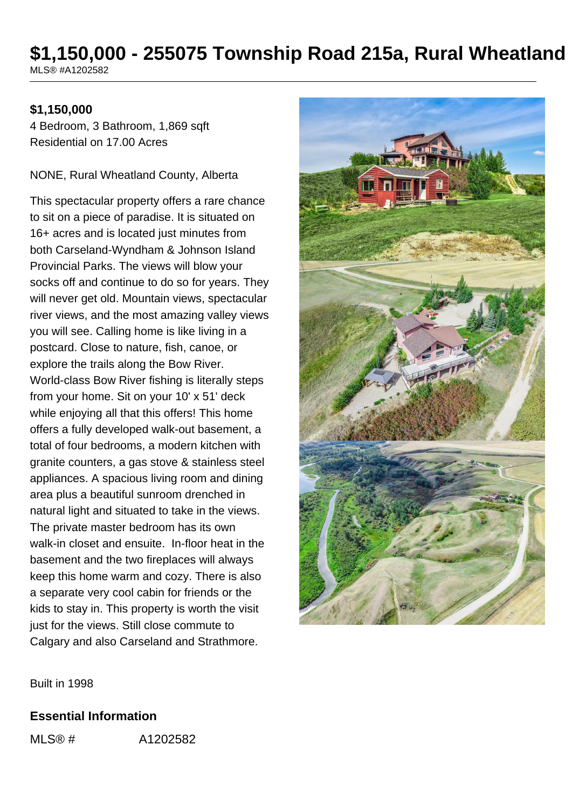### \$1,150,000 - 255075 Township Road 215a, Rural Wheatland MLS® #A1202582

#### **\$1,150,000**

4 Bedroom, 3 Bathroom, 1,869 sqft Residential on 17.00 Acres

NONE, Rural Wheatland County, Alberta

This spectacular property offers a rare chance to sit on a piece of paradise. It is situated on 16+ acres and is located just minutes from both Carseland-Wyndham & Johnson Island Provincial Parks. The views will blow your socks off and continue to do so for years. They will never get old. Mountain views, spectacular river views, and the most amazing valley views you will see. Calling home is like living in a postcard. Close to nature, fish, canoe, or explore the trails along the Bow River. World-class Bow River fishing is literally steps from your home. Sit on your 10' x 51' deck while enjoying all that this offers! This home offers a fully developed walk-out basement, a total of four bedrooms, a modern kitchen with granite counters, a gas stove & stainless steel appliances. A spacious living room and dining area plus a beautiful sunroom drenched in natural light and situated to take in the views. The private master bedroom has its own walk-in closet and ensuite. In-floor heat in the basement and the two fireplaces will always keep this home warm and cozy. There is also a separate very cool cabin for friends or the kids to stay in. This property is worth the visit just for the views. Still close commute to Calgary and also Carseland and Strathmore.



Built in 1998

#### **Essential Information**

MLS® # A1202582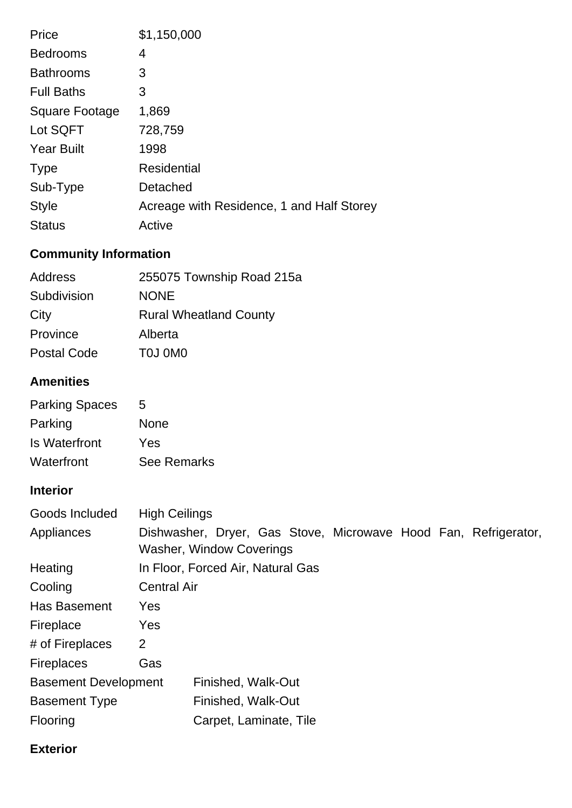| Price                 | \$1,150,000                               |
|-----------------------|-------------------------------------------|
| <b>Bedrooms</b>       | 4                                         |
| <b>Bathrooms</b>      | 3                                         |
| <b>Full Baths</b>     | 3                                         |
| <b>Square Footage</b> | 1,869                                     |
| Lot SQFT              | 728,759                                   |
| <b>Year Built</b>     | 1998                                      |
| <b>Type</b>           | <b>Residential</b>                        |
| Sub-Type              | Detached                                  |
| <b>Style</b>          | Acreage with Residence, 1 and Half Storey |
| <b>Status</b>         | Active                                    |

# **Community Information**

| 255075 Township Road 215a     |
|-------------------------------|
| <b>NONE</b>                   |
| <b>Rural Wheatland County</b> |
| Alberta                       |
| TOJ OMO                       |
|                               |

## **Amenities**

| <b>Parking Spaces</b> | 5                  |
|-----------------------|--------------------|
| Parking               | <b>None</b>        |
| Is Waterfront         | Yes                |
| Waterfront            | <b>See Remarks</b> |

## **Interior**

| In Floor, Forced Air, Natural Gas |  |                      |  |                                                                                                       |  |                                                                 |
|-----------------------------------|--|----------------------|--|-------------------------------------------------------------------------------------------------------|--|-----------------------------------------------------------------|
| <b>Central Air</b>                |  |                      |  |                                                                                                       |  |                                                                 |
| Yes                               |  |                      |  |                                                                                                       |  |                                                                 |
| <b>Yes</b>                        |  |                      |  |                                                                                                       |  |                                                                 |
| 2                                 |  |                      |  |                                                                                                       |  |                                                                 |
| Gas                               |  |                      |  |                                                                                                       |  |                                                                 |
| <b>Basement Development</b>       |  |                      |  |                                                                                                       |  |                                                                 |
|                                   |  |                      |  |                                                                                                       |  |                                                                 |
|                                   |  |                      |  |                                                                                                       |  |                                                                 |
|                                   |  | <b>High Ceilings</b> |  | <b>Washer, Window Coverings</b><br>Finished, Walk-Out<br>Finished, Walk-Out<br>Carpet, Laminate, Tile |  | Dishwasher, Dryer, Gas Stove, Microwave Hood Fan, Refrigerator, |

### **Exterior**